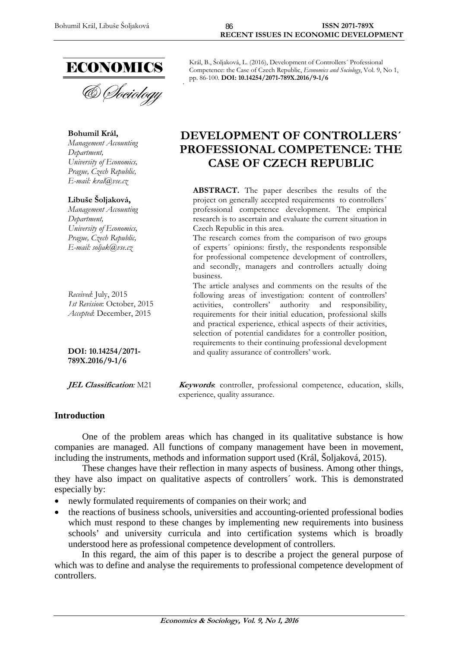

**Bohumil Král,**  *Management Accounting Department, University of Economics, Prague, Czech Republic, E-mail: kral@vse.cz*

#### **Libuše Šoljaková,**

*Management Accounting Department, University of Economics, Prague, Czech Republic, E-mail: soljak@vse.cz* 

*Received*: July, 2015 *1st Revision*: October, 2015 *Accepted*: December, 2015

**DOI: 10.14254/2071- 789X.2016/9-1/6**

Král, B., Šoljaková, L. (2016), Development of Controllers´ Professional Competence: the Case of Czech Republic, *Economics and Sociology*, Vol. 9, No 1, pp. 86-100. **DOI: 10.14254/2071-789X.2016/9-1/6** 

# **DEVELOPMENT OF CONTROLLERS´ PROFESSIONAL COMPETENCE: THE CASE OF CZECH REPUBLIC**

**ABSTRACT.** The paper describes the results of the project on generally accepted requirements to controllers´ professional competence development. The empirical research is to ascertain and evaluate the current situation in Czech Republic in this area.

The research comes from the comparison of two groups of experts´ opinions: firstly, the respondents responsible for professional competence development of controllers, and secondly, managers and controllers actually doing business.

The article analyses and comments on the results of the following areas of investigation: content of controllers' activities, controllers' authority and responsibility, requirements for their initial education, professional skills and practical experience, ethical aspects of their activities, selection of potential candidates for a controller position, requirements to their continuing professional development and quality assurance of controllers' work.

**JEL Classification***:* M21 **Keywords**: controller, professional competence, education, skills, experience, quality assurance.

#### **Introduction**

One of the problem areas which has changed in its qualitative substance is how companies are managed. All functions of company management have been in movement, including the instruments, methods and information support used (Král, Šoljaková, 2015).

These changes have their reflection in many aspects of business. Among other things, they have also impact on qualitative aspects of controllers´ work. This is demonstrated especially by:

- newly formulated requirements of companies on their work; and
- the reactions of business schools, universities and accounting-oriented professional bodies which must respond to these changes by implementing new requirements into business schools' and university curricula and into certification systems which is broadly understood here as professional competence development of controllers.

In this regard, the aim of this paper is to describe a project the general purpose of which was to define and analyse the requirements to professional competence development of controllers.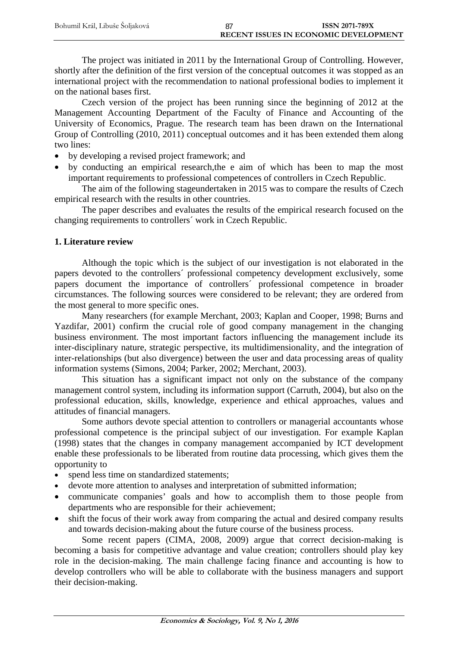The project was initiated in 2011 by the International Group of Controlling. However, shortly after the definition of the first version of the conceptual outcomes it was stopped as an international project with the recommendation to national professional bodies to implement it on the national bases first.

Czech version of the project has been running since the beginning of 2012 at the Management Accounting Department of the Faculty of Finance and Accounting of the University of Economics, Prague. The research team has been drawn on the International Group of Controlling (2010, 2011) conceptual outcomes and it has been extended them along two lines:

- by developing a revised project framework; and
- by conducting an empirical research,the e aim of which has been to map the most important requirements to professional competences of controllers in Czech Republic.

The aim of the following stageundertaken in 2015 was to compare the results of Czech empirical research with the results in other countries.

The paper describes and evaluates the results of the empirical research focused on the changing requirements to controllers´ work in Czech Republic.

## **1. Literature review**

Although the topic which is the subject of our investigation is not elaborated in the papers devoted to the controllers´ professional competency development exclusively, some papers document the importance of controllers´ professional competence in broader circumstances. The following sources were considered to be relevant; they are ordered from the most general to more specific ones.

Many researchers (for example Merchant, 2003; Kaplan and Cooper, 1998; Burns and Yazdifar, 2001) confirm the crucial role of good company management in the changing business environment. The most important factors influencing the management include its inter-disciplinary nature, strategic perspective, its multidimensionality, and the integration of inter-relationships (but also divergence) between the user and data processing areas of quality information systems (Simons, 2004; Parker, 2002; Merchant, 2003).

This situation has a significant impact not only on the substance of the company management control system, including its information support (Carruth, 2004), but also on the professional education, skills, knowledge, experience and ethical approaches, values and attitudes of financial managers.

Some authors devote special attention to controllers or managerial accountants whose professional competence is the principal subject of our investigation. For example Kaplan (1998) states that the changes in company management accompanied by ICT development enable these professionals to be liberated from routine data processing, which gives them the opportunity to

- spend less time on standardized statements;
- devote more attention to analyses and interpretation of submitted information;
- communicate companies' goals and how to accomplish them to those people from departments who are responsible for their achievement;
- shift the focus of their work away from comparing the actual and desired company results and towards decision-making about the future course of the business process.

Some recent papers (CIMA, 2008, 2009) argue that correct decision-making is becoming a basis for competitive advantage and value creation; controllers should play key role in the decision-making. The main challenge facing finance and accounting is how to develop controllers who will be able to collaborate with the business managers and support their decision-making.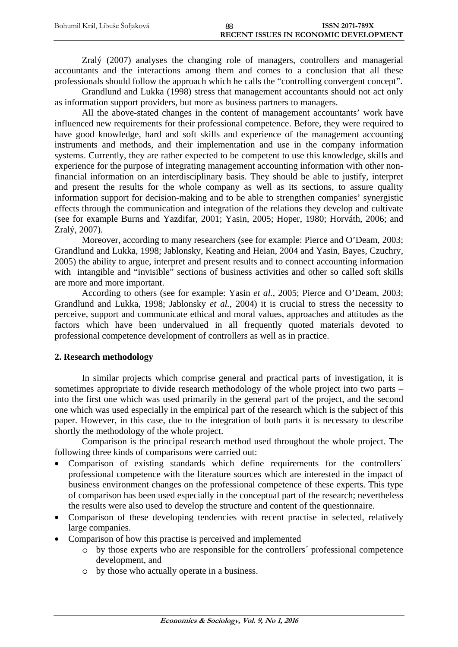| Bohumil Král, Libuše Šoljaková | 88 | <b>ISSN 2071-789X</b>                        |
|--------------------------------|----|----------------------------------------------|
|                                |    | <b>RECENT ISSUES IN ECONOMIC DEVELOPMENT</b> |

Zralý (2007) analyses the changing role of managers, controllers and managerial accountants and the interactions among them and comes to a conclusion that all these professionals should follow the approach which he calls the "controlling convergent concept".

Grandlund and Lukka (1998) stress that management accountants should not act only as information support providers, but more as business partners to managers.

All the above-stated changes in the content of management accountants' work have influenced new requirements for their professional competence. Before, they were required to have good knowledge, hard and soft skills and experience of the management accounting instruments and methods, and their implementation and use in the company information systems. Currently, they are rather expected to be competent to use this knowledge, skills and experience for the purpose of integrating management accounting information with other nonfinancial information on an interdisciplinary basis. They should be able to justify, interpret and present the results for the whole company as well as its sections, to assure quality information support for decision-making and to be able to strengthen companies' synergistic effects through the communication and integration of the relations they develop and cultivate (see for example Burns and Yazdifar, 2001; Yasin, 2005; Hoper, 1980; Horváth, 2006; and Zralý, 2007).

Moreover, according to many researchers (see for example: Pierce and O'Deam, 2003; Grandlund and Lukka, 1998; Jablonsky, Keating and Heian, 2004 and Yasin, Bayes, Czuchry, 2005) the ability to argue, interpret and present results and to connect accounting information with intangible and "invisible" sections of business activities and other so called soft skills are more and more important.

According to others (see for example: Yasin *et al.*, 2005; Pierce and O'Deam, 2003; Grandlund and Lukka, 1998; Jablonsky *et al.*, 2004) it is crucial to stress the necessity to perceive, support and communicate ethical and moral values, approaches and attitudes as the factors which have been undervalued in all frequently quoted materials devoted to professional competence development of controllers as well as in practice.

## **2. Research methodology**

In similar projects which comprise general and practical parts of investigation, it is sometimes appropriate to divide research methodology of the whole project into two parts – into the first one which was used primarily in the general part of the project, and the second one which was used especially in the empirical part of the research which is the subject of this paper. However, in this case, due to the integration of both parts it is necessary to describe shortly the methodology of the whole project.

Comparison is the principal research method used throughout the whole project. The following three kinds of comparisons were carried out:

- Comparison of existing standards which define requirements for the controllers' professional competence with the literature sources which are interested in the impact of business environment changes on the professional competence of these experts. This type of comparison has been used especially in the conceptual part of the research; nevertheless the results were also used to develop the structure and content of the questionnaire.
- Comparison of these developing tendencies with recent practise in selected, relatively large companies.
- Comparison of how this practise is perceived and implemented
	- o by those experts who are responsible for the controllers´ professional competence development, and
	- o by those who actually operate in a business.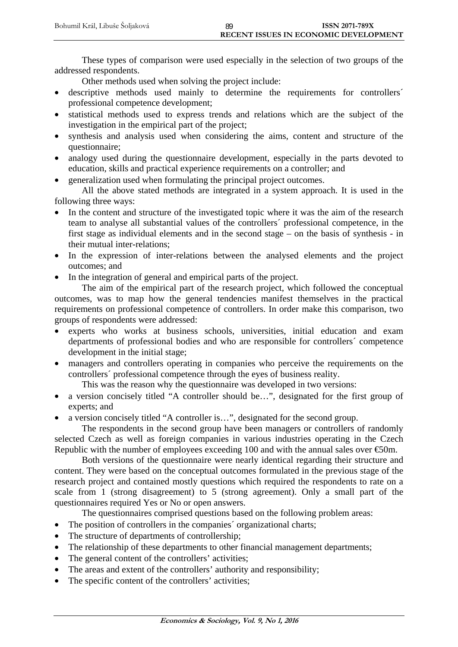These types of comparison were used especially in the selection of two groups of the addressed respondents.

Other methods used when solving the project include:

- descriptive methods used mainly to determine the requirements for controllers' professional competence development;
- statistical methods used to express trends and relations which are the subject of the investigation in the empirical part of the project;
- synthesis and analysis used when considering the aims, content and structure of the questionnaire;
- analogy used during the questionnaire development, especially in the parts devoted to education, skills and practical experience requirements on a controller; and
- generalization used when formulating the principal project outcomes.

All the above stated methods are integrated in a system approach. It is used in the following three ways:

- In the content and structure of the investigated topic where it was the aim of the research team to analyse all substantial values of the controllers´ professional competence, in the first stage as individual elements and in the second stage – on the basis of synthesis - in their mutual inter-relations;
- In the expression of inter-relations between the analysed elements and the project outcomes; and
- In the integration of general and empirical parts of the project.

The aim of the empirical part of the research project, which followed the conceptual outcomes, was to map how the general tendencies manifest themselves in the practical requirements on professional competence of controllers. In order make this comparison, two groups of respondents were addressed:

- experts who works at business schools, universities, initial education and exam departments of professional bodies and who are responsible for controllers´ competence development in the initial stage;
- managers and controllers operating in companies who perceive the requirements on the controllers´ professional competence through the eyes of business reality.

This was the reason why the questionnaire was developed in two versions:

- a version concisely titled "A controller should be...", designated for the first group of experts; and
- a version concisely titled "A controller is...", designated for the second group.

The respondents in the second group have been managers or controllers of randomly selected Czech as well as foreign companies in various industries operating in the Czech Republic with the number of employees exceeding 100 and with the annual sales over  $\epsilon$ 50m.

Both versions of the questionnaire were nearly identical regarding their structure and content. They were based on the conceptual outcomes formulated in the previous stage of the research project and contained mostly questions which required the respondents to rate on a scale from 1 (strong disagreement) to 5 (strong agreement). Only a small part of the questionnaires required Yes or No or open answers.

The questionnaires comprised questions based on the following problem areas:

- The position of controllers in the companies' organizational charts;
- The structure of departments of controllership;
- The relationship of these departments to other financial management departments;
- The general content of the controllers' activities;
- The areas and extent of the controllers' authority and responsibility;
- The specific content of the controllers' activities;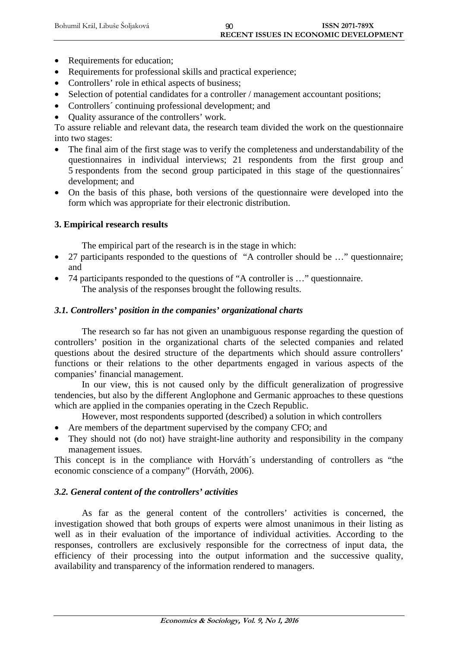- Requirements for education;
- Requirements for professional skills and practical experience;
- Controllers' role in ethical aspects of business;
- Selection of potential candidates for a controller / management accountant positions;
- Controllers' continuing professional development; and
- Quality assurance of the controllers' work.

To assure reliable and relevant data, the research team divided the work on the questionnaire into two stages:

- The final aim of the first stage was to verify the completeness and understandability of the questionnaires in individual interviews; 21 respondents from the first group and 5 respondents from the second group participated in this stage of the questionnaires´ development; and
- On the basis of this phase, both versions of the questionnaire were developed into the form which was appropriate for their electronic distribution.

## **3. Empirical research results**

The empirical part of the research is in the stage in which:

- 27 participants responded to the questions of "A controller should be ..." questionnaire; and
- 74 participants responded to the questions of "A controller is …" questionnaire. The analysis of the responses brought the following results.

## *3.1. Controllers' position in the companies' organizational charts*

The research so far has not given an unambiguous response regarding the question of controllers' position in the organizational charts of the selected companies and related questions about the desired structure of the departments which should assure controllers' functions or their relations to the other departments engaged in various aspects of the companies' financial management.

In our view, this is not caused only by the difficult generalization of progressive tendencies, but also by the different Anglophone and Germanic approaches to these questions which are applied in the companies operating in the Czech Republic.

However, most respondents supported (described) a solution in which controllers

- Are members of the department supervised by the company CFO; and
- They should not (do not) have straight-line authority and responsibility in the company management issues.

This concept is in the compliance with Horváth´s understanding of controllers as "the economic conscience of a company" (Horváth, 2006).

## *3.2. General content of the controllers' activities*

As far as the general content of the controllers' activities is concerned, the investigation showed that both groups of experts were almost unanimous in their listing as well as in their evaluation of the importance of individual activities. According to the responses, controllers are exclusively responsible for the correctness of input data, the efficiency of their processing into the output information and the successive quality, availability and transparency of the information rendered to managers.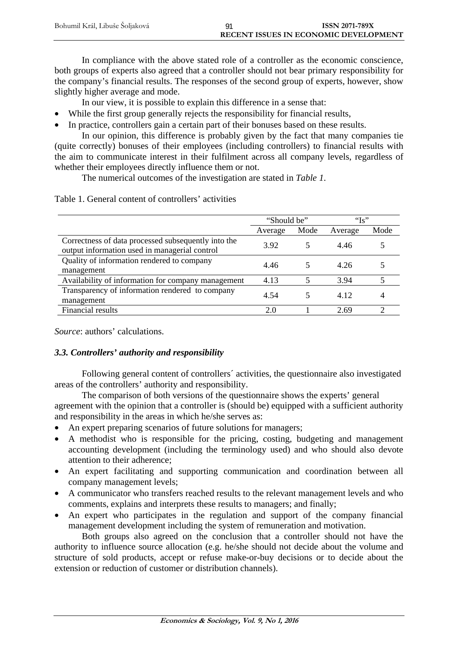| Bohumil Král, Libuše Šoljaková | <b>ISSN 2071-789X</b>                        |
|--------------------------------|----------------------------------------------|
|                                | <b>RECENT ISSUES IN ECONOMIC DEVELOPMENT</b> |

In compliance with the above stated role of a controller as the economic conscience, both groups of experts also agreed that a controller should not bear primary responsibility for the company's financial results. The responses of the second group of experts, however, show slightly higher average and mode.

In our view, it is possible to explain this difference in a sense that:

- While the first group generally rejects the responsibility for financial results,
- In practice, controllers gain a certain part of their bonuses based on these results.

In our opinion, this difference is probably given by the fact that many companies tie (quite correctly) bonuses of their employees (including controllers) to financial results with the aim to communicate interest in their fulfilment across all company levels, regardless of whether their employees directly influence them or not.

The numerical outcomes of the investigation are stated in *Table 1*.

|                                                                                                      | "Should be" |      | " $\mathbf{I}$ s" |      |
|------------------------------------------------------------------------------------------------------|-------------|------|-------------------|------|
|                                                                                                      | Average     | Mode | Average           | Mode |
| Correctness of data processed subsequently into the<br>output information used in managerial control | 3.92        |      | 4.46              |      |
| Quality of information rendered to company<br>management                                             | 4.46        |      | 4.26              |      |
| Availability of information for company management                                                   | 4.13        |      | 3.94              |      |
| Transparency of information rendered to company<br>management                                        | 4.54        | 5    | 4.12              | 4    |
| Financial results                                                                                    | 2.0         |      | 2.69              |      |

Table 1. General content of controllers' activities

*Source*: authors' calculations.

## *3.3. Controllers' authority and responsibility*

Following general content of controllers´ activities, the questionnaire also investigated areas of the controllers' authority and responsibility.

The comparison of both versions of the questionnaire shows the experts' general agreement with the opinion that a controller is (should be) equipped with a sufficient authority and responsibility in the areas in which he/she serves as:

- An expert preparing scenarios of future solutions for managers:
- A methodist who is responsible for the pricing, costing, budgeting and management accounting development (including the terminology used) and who should also devote attention to their adherence;
- An expert facilitating and supporting communication and coordination between all company management levels;
- A communicator who transfers reached results to the relevant management levels and who comments, explains and interprets these results to managers; and finally;
- An expert who participates in the regulation and support of the company financial management development including the system of remuneration and motivation.

Both groups also agreed on the conclusion that a controller should not have the authority to influence source allocation (e.g. he/she should not decide about the volume and structure of sold products, accept or refuse make-or-buy decisions or to decide about the extension or reduction of customer or distribution channels).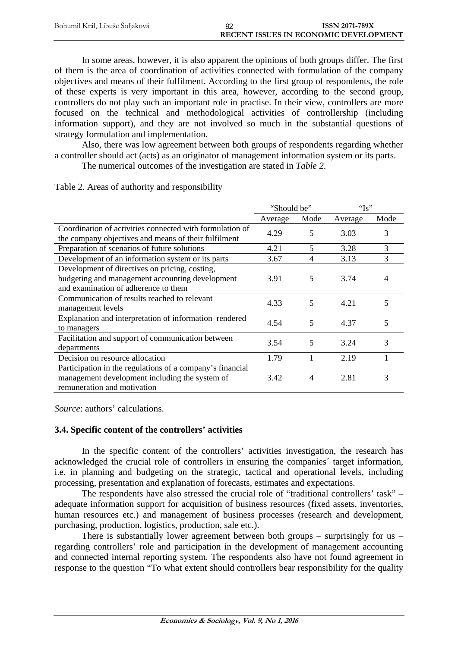| Bohumil Král, Libuše Šoljaková | <b>ISSN 2071-789X</b>                        |
|--------------------------------|----------------------------------------------|
|                                | <b>RECENT ISSUES IN ECONOMIC DEVELOPMENT</b> |

In some areas, however, it is also apparent the opinions of both groups differ. The first of them is the area of coordination of activities connected with formulation of the company objectives and means of their fulfilment. According to the first group of respondents, the role of these experts is very important in this area, however, according to the second group, controllers do not play such an important role in practise. In their view, controllers are more focused on the technical and methodological activities of controllership (including information support), and they are not involved so much in the substantial questions of strategy formulation and implementation.

Also, there was low agreement between both groups of respondents regarding whether a controller should act (acts) as an originator of management information system or its parts.

The numerical outcomes of the investigation are stated in *Table 2*.

|                                                           | "Should be" |      | " $Is$ " |      |
|-----------------------------------------------------------|-------------|------|----------|------|
|                                                           | Average     | Mode | Average  | Mode |
| Coordination of activities connected with formulation of  | 4.29        | 5    | 3.03     | 3    |
| the company objectives and means of their fulfilment      |             |      |          |      |
| Preparation of scenarios of future solutions              | 4.21        | 5    | 3.28     | 3    |
| Development of an information system or its parts         | 3.67        | 4    | 3.13     | 3    |
| Development of directives on pricing, costing,            |             |      |          |      |
| budgeting and management accounting development           | 3.91        | 5    | 3.74     | 4    |
| and examination of adherence to them                      |             |      |          |      |
| Communication of results reached to relevant              | 4.33        | 5    | 4.21     | 5    |
| management levels                                         |             |      |          |      |
| Explanation and interpretation of information rendered    | 4.54        | 5    | 4.37     | 5    |
| to managers                                               |             |      |          |      |
| Facilitation and support of communication between         | 3.54        | 5    | 3.24     | 3    |
| departments                                               |             |      |          |      |
| Decision on resource allocation                           | 1.79        |      | 2.19     |      |
| Participation in the regulations of a company's financial |             |      |          |      |
| management development including the system of            | 3.42        | 4    | 2.81     | 3    |
| remuneration and motivation                               |             |      |          |      |

Table 2. Areas of authority and responsibility

*Source*: authors' calculations.

## **3.4. Specific content of the controllers' activities**

In the specific content of the controllers' activities investigation, the research has acknowledged the crucial role of controllers in ensuring the companies´ target information, i.e. in planning and budgeting on the strategic, tactical and operational levels, including processing, presentation and explanation of forecasts, estimates and expectations.

The respondents have also stressed the crucial role of "traditional controllers' task" – adequate information support for acquisition of business resources (fixed assets, inventories, human resources etc.) and management of business processes (research and development, purchasing, production, logistics, production, sale etc.).

There is substantially lower agreement between both groups – surprisingly for us – regarding controllers' role and participation in the development of management accounting and connected internal reporting system. The respondents also have not found agreement in response to the question "To what extent should controllers bear responsibility for the quality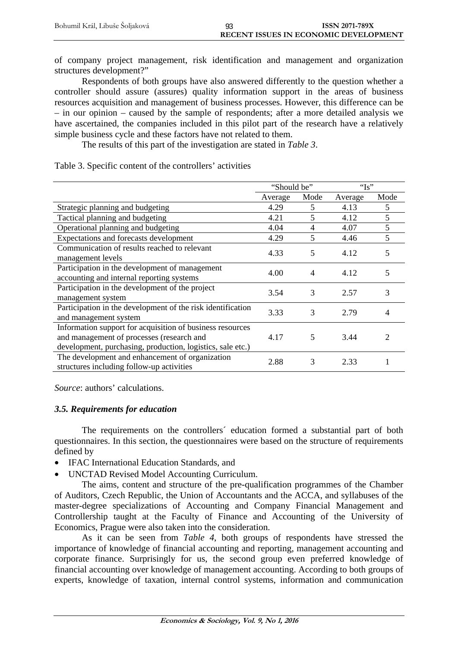of company project management, risk identification and management and organization structures development?"

Respondents of both groups have also answered differently to the question whether a controller should assure (assures) quality information support in the areas of business resources acquisition and management of business processes. However, this difference can be – in our opinion – caused by the sample of respondents; after a more detailed analysis we have ascertained, the companies included in this pilot part of the research have a relatively simple business cycle and these factors have not related to them.

The results of this part of the investigation are stated in *Table 3*.

Table 3. Specific content of the controllers' activities

|                                                                                                                                                                      | "Should be" |      | " $Is$ " |      |
|----------------------------------------------------------------------------------------------------------------------------------------------------------------------|-------------|------|----------|------|
|                                                                                                                                                                      | Average     | Mode | Average  | Mode |
| Strategic planning and budgeting                                                                                                                                     | 4.29        | 5    | 4.13     | 5    |
| Tactical planning and budgeting                                                                                                                                      | 4.21        | 5    | 4.12     | 5    |
| Operational planning and budgeting                                                                                                                                   | 4.04        | 4    | 4.07     | 5    |
| Expectations and forecasts development                                                                                                                               | 4.29        | 5    | 4.46     | 5    |
| Communication of results reached to relevant<br>management levels                                                                                                    | 4.33        | 5    | 4.12     | 5    |
| Participation in the development of management<br>accounting and internal reporting systems                                                                          | 4.00        | 4    | 4.12     | 5    |
| Participation in the development of the project<br>management system                                                                                                 | 3.54        | 3    | 2.57     | 3    |
| Participation in the development of the risk identification<br>and management system                                                                                 | 3.33        | 3    | 2.79     | 4    |
| Information support for acquisition of business resources<br>and management of processes (research and<br>development, purchasing, production, logistics, sale etc.) | 4.17        | 5    | 3.44     |      |
| The development and enhancement of organization<br>structures including follow-up activities                                                                         | 2.88        | 3    | 2.33     |      |

*Source*: authors' calculations.

## *3.5. Requirements for education*

The requirements on the controllers´ education formed a substantial part of both questionnaires. In this section, the questionnaires were based on the structure of requirements defined by

- IFAC International Education Standards, and
- UNCTAD Revised Model Accounting Curriculum.

The aims, content and structure of the pre-qualification programmes of the Chamber of Auditors, Czech Republic, the Union of Accountants and the ACCA, and syllabuses of the master-degree specializations of Accounting and Company Financial Management and Controllership taught at the Faculty of Finance and Accounting of the University of Economics, Prague were also taken into the consideration.

As it can be seen from *Table 4*, both groups of respondents have stressed the importance of knowledge of financial accounting and reporting, management accounting and corporate finance. Surprisingly for us, the second group even preferred knowledge of financial accounting over knowledge of management accounting. According to both groups of experts, knowledge of taxation, internal control systems, information and communication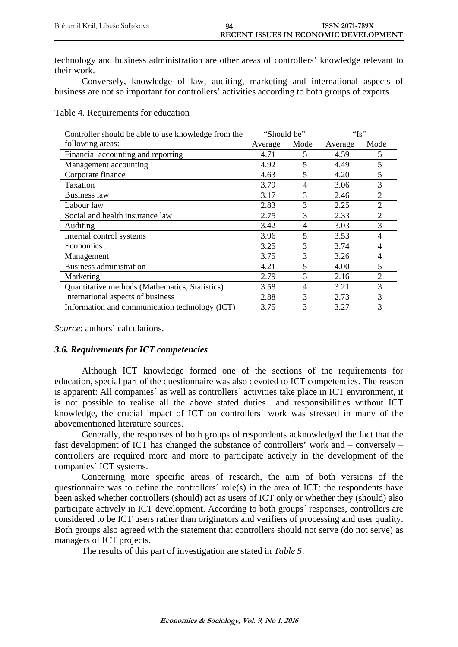technology and business administration are other areas of controllers' knowledge relevant to their work.

Conversely, knowledge of law, auditing, marketing and international aspects of business are not so important for controllers' activities according to both groups of experts.

Table 4. Requirements for education

| Controller should be able to use knowledge from the | "Should be" |      | " $Is$ " |                |
|-----------------------------------------------------|-------------|------|----------|----------------|
| following areas:                                    | Average     | Mode | Average  | Mode           |
| Financial accounting and reporting                  | 4.71        | 5    | 4.59     | 5              |
| Management accounting                               | 4.92        | 5    | 4.49     | 5              |
| Corporate finance                                   | 4.63        | 5    | 4.20     | 5              |
| Taxation                                            | 3.79        | 4    | 3.06     | 3              |
| <b>Business law</b>                                 | 3.17        | 3    | 2.46     | $\overline{2}$ |
| Labour law                                          | 2.83        | 3    | 2.25     | $\overline{2}$ |
| Social and health insurance law                     | 2.75        | 3    | 2.33     | $\overline{2}$ |
| Auditing                                            | 3.42        | 4    | 3.03     | 3              |
| Internal control systems                            | 3.96        | 5    | 3.53     | 4              |
| Economics                                           | 3.25        | 3    | 3.74     | 4              |
| Management                                          | 3.75        | 3    | 3.26     | 4              |
| <b>Business administration</b>                      | 4.21        | 5    | 4.00     | 5              |
| Marketing                                           | 2.79        | 3    | 2.16     | $\overline{2}$ |
| Quantitative methods (Mathematics, Statistics)      | 3.58        | 4    | 3.21     | 3              |
| International aspects of business                   | 2.88        | 3    | 2.73     | 3              |
| Information and communication technology (ICT)      | 3.75        | 3    | 3.27     | 3              |

*Source*: authors' calculations.

## *3.6. Requirements for ICT competencies*

Although ICT knowledge formed one of the sections of the requirements for education, special part of the questionnaire was also devoted to ICT competencies. The reason is apparent: All companies´ as well as controllers´ activities take place in ICT environment, it is not possible to realise all the above stated duties and responsibilities without ICT knowledge, the crucial impact of ICT on controllers´ work was stressed in many of the abovementioned literature sources.

Generally, the responses of both groups of respondents acknowledged the fact that the fast development of ICT has changed the substance of controllers' work and – conversely – controllers are required more and more to participate actively in the development of the companies´ ICT systems.

Concerning more specific areas of research, the aim of both versions of the questionnaire was to define the controllers´ role(s) in the area of ICT: the respondents have been asked whether controllers (should) act as users of ICT only or whether they (should) also participate actively in ICT development. According to both groups´ responses, controllers are considered to be ICT users rather than originators and verifiers of processing and user quality. Both groups also agreed with the statement that controllers should not serve (do not serve) as managers of ICT projects.

The results of this part of investigation are stated in *Table 5*.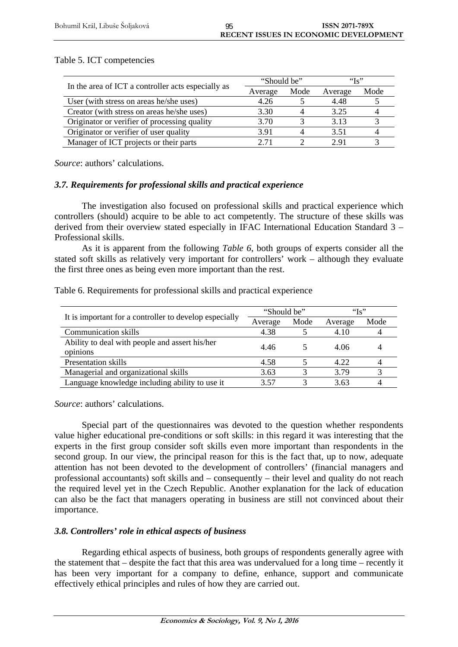Table 5. ICT competencies

| In the area of ICT a controller acts especially as | "Should be" |      | $G_{\rm C}$ |      |
|----------------------------------------------------|-------------|------|-------------|------|
|                                                    | Average     | Mode | Average     | Mode |
| User (with stress on areas he/she uses)            | 4.26        |      | 4.48        |      |
| Creator (with stress on areas he/she uses)         | 3.30        |      | 3.25        |      |
| Originator or verifier of processing quality       | 3.70        |      | 3.13        |      |
| Originator or verifier of user quality             | 3.91        |      | 3.51        |      |
| Manager of ICT projects or their parts             | 2.71        |      | 2.91        |      |

*Source*: authors' calculations.

## *3.7. Requirements for professional skills and practical experience*

The investigation also focused on professional skills and practical experience which controllers (should) acquire to be able to act competently. The structure of these skills was derived from their overview stated especially in IFAC International Education Standard 3 – Professional skills.

As it is apparent from the following *Table 6*, both groups of experts consider all the stated soft skills as relatively very important for controllers' work – although they evaluate the first three ones as being even more important than the rest.

Table 6. Requirements for professional skills and practical experience

| It is important for a controller to develop especially     | "Should be" |      | " $\mathbf{I} \mathbf{s}$ " |      |
|------------------------------------------------------------|-------------|------|-----------------------------|------|
|                                                            | Average     | Mode | Average                     | Mode |
| Communication skills                                       | 4.38        |      | 4.10                        |      |
| Ability to deal with people and assert his/her<br>opinions | 4.46        |      | 4.06                        |      |
| <b>Presentation skills</b>                                 | 4.58        |      | 4.22                        |      |
| Managerial and organizational skills                       | 3.63        |      | 3.79                        |      |
| Language knowledge including ability to use it             | 3.57        |      | 3.63                        |      |

*Source*: authors' calculations.

Special part of the questionnaires was devoted to the question whether respondents value higher educational pre-conditions or soft skills: in this regard it was interesting that the experts in the first group consider soft skills even more important than respondents in the second group. In our view, the principal reason for this is the fact that, up to now, adequate attention has not been devoted to the development of controllers' (financial managers and professional accountants) soft skills and – consequently – their level and quality do not reach the required level yet in the Czech Republic. Another explanation for the lack of education can also be the fact that managers operating in business are still not convinced about their importance.

## *3.8. Controllers' role in ethical aspects of business*

Regarding ethical aspects of business, both groups of respondents generally agree with the statement that – despite the fact that this area was undervalued for a long time – recently it has been very important for a company to define, enhance, support and communicate effectively ethical principles and rules of how they are carried out.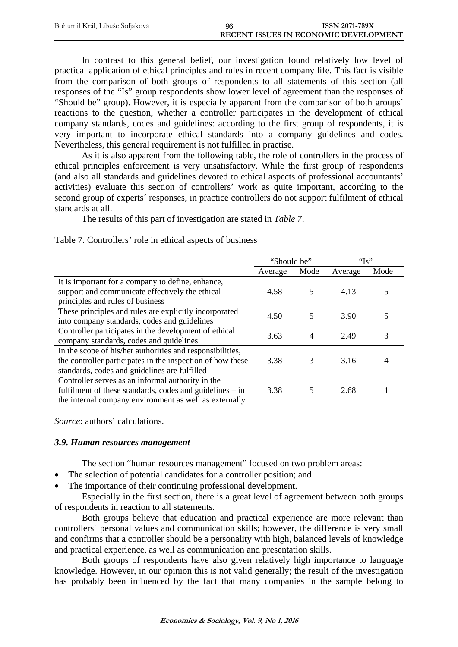In contrast to this general belief, our investigation found relatively low level of practical application of ethical principles and rules in recent company life. This fact is visible from the comparison of both groups of respondents to all statements of this section (all responses of the "Is" group respondents show lower level of agreement than the responses of "Should be" group). However, it is especially apparent from the comparison of both groups´ reactions to the question, whether a controller participates in the development of ethical company standards, codes and guidelines: according to the first group of respondents, it is very important to incorporate ethical standards into a company guidelines and codes. Nevertheless, this general requirement is not fulfilled in practise.

As it is also apparent from the following table, the role of controllers in the process of ethical principles enforcement is very unsatisfactory. While the first group of respondents (and also all standards and guidelines devoted to ethical aspects of professional accountants' activities) evaluate this section of controllers' work as quite important, according to the second group of experts´ responses, in practice controllers do not support fulfilment of ethical standards at all.

The results of this part of investigation are stated in *Table 7*.

|                                                            | "Should be" |                | " $Is$ " |      |
|------------------------------------------------------------|-------------|----------------|----------|------|
|                                                            | Average     | Mode           | Average  | Mode |
| It is important for a company to define, enhance,          |             |                |          |      |
| support and communicate effectively the ethical            | 4.58        | 5              | 4.13     |      |
| principles and rules of business                           |             |                |          |      |
| These principles and rules are explicitly incorporated     | 4.50        | 5              | 3.90     |      |
| into company standards, codes and guidelines               |             |                |          |      |
| Controller participates in the development of ethical      | 3.63        | $\overline{4}$ | 2.49     |      |
| company standards, codes and guidelines                    |             |                |          |      |
| In the scope of his/her authorities and responsibilities,  |             |                |          |      |
| the controller participates in the inspection of how these | 3.38        | 3              | 3.16     |      |
| standards, codes and guidelines are fulfilled              |             |                |          |      |
| Controller serves as an informal authority in the          |             |                |          |      |
| fulfilment of these standards, codes and guidelines $-$ in | 3.38        | 5              | 2.68     |      |
| the internal company environment as well as externally     |             |                |          |      |
|                                                            |             |                |          |      |

Table 7. Controllers' role in ethical aspects of business

*Source*: authors' calculations.

## *3.9. Human resources management*

The section "human resources management" focused on two problem areas:

- The selection of potential candidates for a controller position; and
- The importance of their continuing professional development.

Especially in the first section, there is a great level of agreement between both groups of respondents in reaction to all statements.

Both groups believe that education and practical experience are more relevant than controllers´ personal values and communication skills; however, the difference is very small and confirms that a controller should be a personality with high, balanced levels of knowledge and practical experience, as well as communication and presentation skills.

Both groups of respondents have also given relatively high importance to language knowledge. However, in our opinion this is not valid generally; the result of the investigation has probably been influenced by the fact that many companies in the sample belong to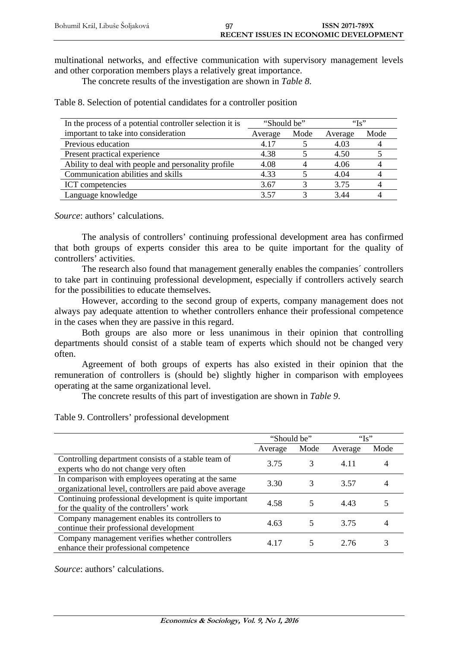multinational networks, and effective communication with supervisory management levels and other corporation members plays a relatively great importance.

The concrete results of the investigation are shown in *Table 8*.

| In the process of a potential controller selection it is | "Should be" |      | " $\mathbf{I} \mathbf{s}$ " |      |
|----------------------------------------------------------|-------------|------|-----------------------------|------|
| important to take into consideration                     | Average     | Mode | Average                     | Mode |
| Previous education                                       | 4.17        |      | 4.03                        |      |
| Present practical experience                             | 4.38        |      | 4.50                        |      |
| Ability to deal with people and personality profile      | 4.08        |      | 4.06                        |      |
| Communication abilities and skills                       | 4.33        |      | 4.04                        |      |
| <b>ICT</b> competencies                                  | 3.67        |      | 3.75                        |      |
| Language knowledge                                       | 3.57        |      | 344                         |      |

Table 8. Selection of potential candidates for a controller position

*Source*: authors' calculations.

The analysis of controllers' continuing professional development area has confirmed that both groups of experts consider this area to be quite important for the quality of controllers' activities.

The research also found that management generally enables the companies´ controllers to take part in continuing professional development, especially if controllers actively search for the possibilities to educate themselves.

However, according to the second group of experts, company management does not always pay adequate attention to whether controllers enhance their professional competence in the cases when they are passive in this regard.

Both groups are also more or less unanimous in their opinion that controlling departments should consist of a stable team of experts which should not be changed very often.

Agreement of both groups of experts has also existed in their opinion that the remuneration of controllers is (should be) slightly higher in comparison with employees operating at the same organizational level.

The concrete results of this part of investigation are shown in *Table 9*.

|                                                                                                                | "Should be" |      | " $Is$ " |      |
|----------------------------------------------------------------------------------------------------------------|-------------|------|----------|------|
|                                                                                                                | Average     | Mode | Average  | Mode |
| Controlling department consists of a stable team of<br>experts who do not change very often                    | 3.75        | 3    | 4.11     | 4    |
| In comparison with employees operating at the same<br>organizational level, controllers are paid above average | 3.30        | 3    | 3.57     |      |
| Continuing professional development is quite important<br>for the quality of the controllers' work             | 4.58        |      | 4.43     |      |
| Company management enables its controllers to<br>continue their professional development                       | 4.63        |      | 3.75     |      |
| Company management verifies whether controllers<br>enhance their professional competence                       | 4.17        |      | 2.76     |      |

Table 9. Controllers' professional development

*Source*: authors' calculations.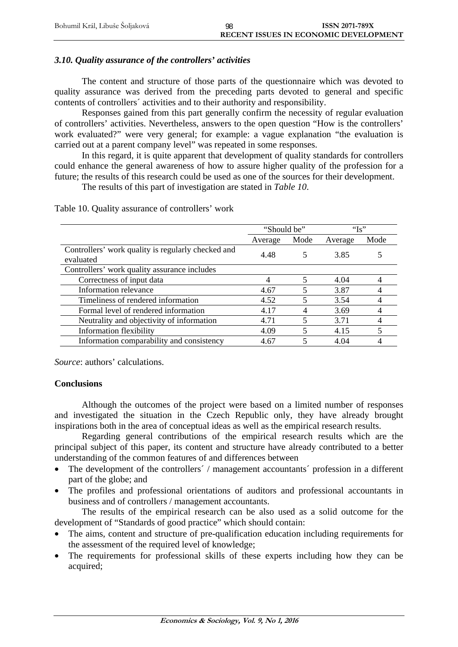#### *3.10. Quality assurance of the controllers' activities*

The content and structure of those parts of the questionnaire which was devoted to quality assurance was derived from the preceding parts devoted to general and specific contents of controllers´ activities and to their authority and responsibility.

Responses gained from this part generally confirm the necessity of regular evaluation of controllers' activities. Nevertheless, answers to the open question "How is the controllers' work evaluated?" were very general; for example: a vague explanation "the evaluation is carried out at a parent company level" was repeated in some responses.

In this regard, it is quite apparent that development of quality standards for controllers could enhance the general awareness of how to assure higher quality of the profession for a future; the results of this research could be used as one of the sources for their development.

The results of this part of investigation are stated in *Table 10*.

|                                                                 | "Should be" |      | " $Is$ " |      |
|-----------------------------------------------------------------|-------------|------|----------|------|
|                                                                 | Average     | Mode | Average  | Mode |
| Controllers' work quality is regularly checked and<br>evaluated | 4.48        |      | 3.85     |      |
| Controllers' work quality assurance includes                    |             |      |          |      |
| Correctness of input data                                       | 4           | 5    | 4.04     | 4    |
| Information relevance                                           | 4.67        |      | 3.87     |      |
| Timeliness of rendered information                              | 4.52        |      | 3.54     |      |
| Formal level of rendered information                            | 4.17        |      | 3.69     |      |
| Neutrality and objectivity of information                       | 4.71        |      | 3.71     |      |
| <b>Information flexibility</b>                                  | 4.09        |      | 4.15     |      |
| Information comparability and consistency                       | 4.67        |      | 4.04     |      |

Table 10. Quality assurance of controllers' work

*Source*: authors' calculations.

## **Conclusions**

Although the outcomes of the project were based on a limited number of responses and investigated the situation in the Czech Republic only, they have already brought inspirations both in the area of conceptual ideas as well as the empirical research results.

Regarding general contributions of the empirical research results which are the principal subject of this paper, its content and structure have already contributed to a better understanding of the common features of and differences between

- The development of the controllers' / management accountants' profession in a different part of the globe; and
- The profiles and professional orientations of auditors and professional accountants in business and of controllers / management accountants.

The results of the empirical research can be also used as a solid outcome for the development of "Standards of good practice" which should contain:

- The aims, content and structure of pre-qualification education including requirements for the assessment of the required level of knowledge;
- The requirements for professional skills of these experts including how they can be acquired;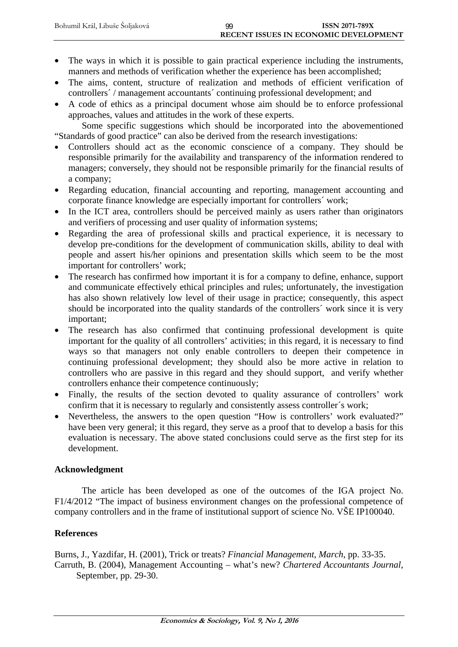- The ways in which it is possible to gain practical experience including the instruments, manners and methods of verification whether the experience has been accomplished;
- The aims, content, structure of realization and methods of efficient verification of controllers´ / management accountants´ continuing professional development; and
- A code of ethics as a principal document whose aim should be to enforce professional approaches, values and attitudes in the work of these experts.

Some specific suggestions which should be incorporated into the abovementioned "Standards of good practice" can also be derived from the research investigations:

- Controllers should act as the economic conscience of a company. They should be responsible primarily for the availability and transparency of the information rendered to managers; conversely, they should not be responsible primarily for the financial results of a company;
- Regarding education, financial accounting and reporting, management accounting and corporate finance knowledge are especially important for controllers´ work;
- In the ICT area, controllers should be perceived mainly as users rather than originators and verifiers of processing and user quality of information systems;
- Regarding the area of professional skills and practical experience, it is necessary to develop pre-conditions for the development of communication skills, ability to deal with people and assert his/her opinions and presentation skills which seem to be the most important for controllers' work;
- The research has confirmed how important it is for a company to define, enhance, support and communicate effectively ethical principles and rules; unfortunately, the investigation has also shown relatively low level of their usage in practice; consequently, this aspect should be incorporated into the quality standards of the controllers´ work since it is very important;
- The research has also confirmed that continuing professional development is quite important for the quality of all controllers' activities; in this regard, it is necessary to find ways so that managers not only enable controllers to deepen their competence in continuing professional development; they should also be more active in relation to controllers who are passive in this regard and they should support, and verify whether controllers enhance their competence continuously;
- Finally, the results of the section devoted to quality assurance of controllers' work confirm that it is necessary to regularly and consistently assess controller´s work;
- Nevertheless, the answers to the open question "How is controllers' work evaluated?" have been very general; it this regard, they serve as a proof that to develop a basis for this evaluation is necessary. The above stated conclusions could serve as the first step for its development.

## **Acknowledgment**

The article has been developed as one of the outcomes of the IGA project No. F1/4/2012 "The impact of business environment changes on the professional competence of company controllers and in the frame of institutional support of science No. VŠE IP100040.

## **References**

Burns, J., Yazdifar, H. (2001), Trick or treats? *Financial Management*, *March*, pp. 33-35. Carruth, B. (2004), Management Accounting – what's new? *Chartered Accountants Journal*, September, pp. 29-30.